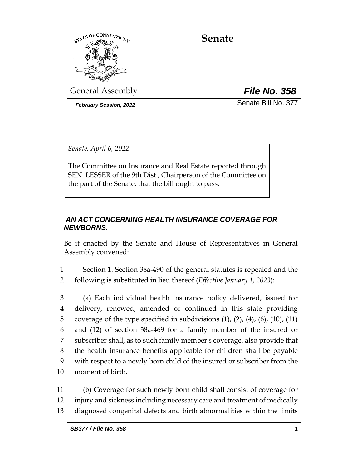

# **Senate**

General Assembly *File No. 358*

*February Session, 2022* Senate Bill No. 377

*Senate, April 6, 2022*

The Committee on Insurance and Real Estate reported through SEN. LESSER of the 9th Dist., Chairperson of the Committee on the part of the Senate, that the bill ought to pass.

# *AN ACT CONCERNING HEALTH INSURANCE COVERAGE FOR NEWBORNS.*

Be it enacted by the Senate and House of Representatives in General Assembly convened:

1 Section 1. Section 38a-490 of the general statutes is repealed and the 2 following is substituted in lieu thereof (*Effective January 1, 2023*):

 (a) Each individual health insurance policy delivered, issued for delivery, renewed, amended or continued in this state providing 5 coverage of the type specified in subdivisions  $(1)$ ,  $(2)$ ,  $(4)$ ,  $(6)$ ,  $(10)$ ,  $(11)$  and (12) of section 38a-469 for a family member of the insured or subscriber shall, as to such family member's coverage, also provide that the health insurance benefits applicable for children shall be payable with respect to a newly born child of the insured or subscriber from the moment of birth.

11 (b) Coverage for such newly born child shall consist of coverage for 12 injury and sickness including necessary care and treatment of medically 13 diagnosed congenital defects and birth abnormalities within the limits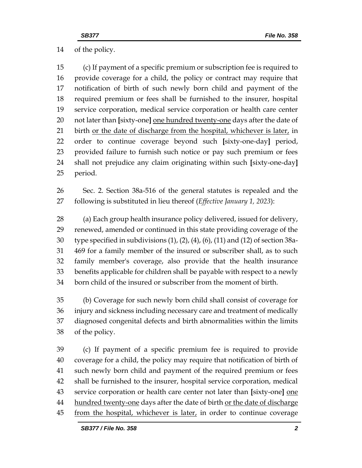of the policy.

 (c) If payment of a specific premium or subscription fee is required to provide coverage for a child, the policy or contract may require that notification of birth of such newly born child and payment of the required premium or fees shall be furnished to the insurer, hospital service corporation, medical service corporation or health care center not later than **[**sixty-one**]** one hundred twenty-one days after the date of 21 birth <u>or the date of discharge from the hospital</u>, whichever is later, in order to continue coverage beyond such **[**sixty-one-day**]** period, provided failure to furnish such notice or pay such premium or fees shall not prejudice any claim originating within such **[**sixty-one-day**]** period.

 Sec. 2. Section 38a-516 of the general statutes is repealed and the following is substituted in lieu thereof (*Effective January 1, 2023*):

 (a) Each group health insurance policy delivered, issued for delivery, renewed, amended or continued in this state providing coverage of the type specified in subdivisions (1), (2), (4), (6), (11) and (12) of section 38a- 469 for a family member of the insured or subscriber shall, as to such family member's coverage, also provide that the health insurance benefits applicable for children shall be payable with respect to a newly born child of the insured or subscriber from the moment of birth.

 (b) Coverage for such newly born child shall consist of coverage for injury and sickness including necessary care and treatment of medically diagnosed congenital defects and birth abnormalities within the limits of the policy.

 (c) If payment of a specific premium fee is required to provide coverage for a child, the policy may require that notification of birth of such newly born child and payment of the required premium or fees shall be furnished to the insurer, hospital service corporation, medical service corporation or health care center not later than **[**sixty-one**]** one 44 hundred twenty-one days after the date of birth or the date of discharge from the hospital, whichever is later, in order to continue coverage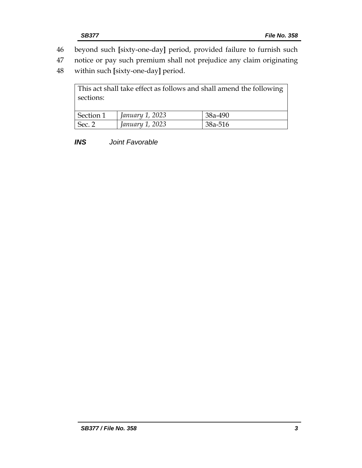- 46 beyond such **[**sixty-one-day**]** period, provided failure to furnish such
- 47 notice or pay such premium shall not prejudice any claim originating
- 48 within such **[**sixty-one-day**]** period.

| sections: |                 | This act shall take effect as follows and shall amend the following |
|-----------|-----------------|---------------------------------------------------------------------|
| Section 1 | January 1, 2023 | 38a-490                                                             |
| Sec. 2    | January 1, 2023 | 38a-516                                                             |

*INS Joint Favorable*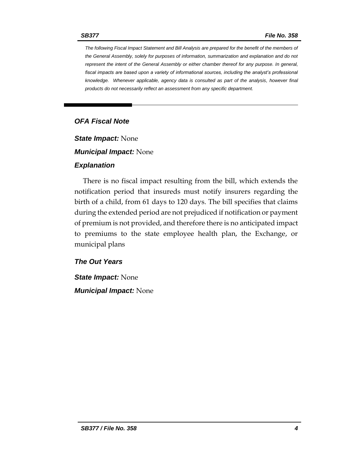*The following Fiscal Impact Statement and Bill Analysis are prepared for the benefit of the members of the General Assembly, solely for purposes of information, summarization and explanation and do not represent the intent of the General Assembly or either chamber thereof for any purpose. In general,*  fiscal impacts are based upon a variety of informational sources, including the analyst's professional *knowledge. Whenever applicable, agency data is consulted as part of the analysis, however final products do not necessarily reflect an assessment from any specific department.*

## *OFA Fiscal Note*

*State Impact:* None

*Municipal Impact:* None

#### *Explanation*

There is no fiscal impact resulting from the bill, which extends the notification period that insureds must notify insurers regarding the birth of a child, from 61 days to 120 days. The bill specifies that claims during the extended period are not prejudiced if notification or payment of premium is not provided, and therefore there is no anticipated impact to premiums to the state employee health plan, the Exchange, or municipal plans

### *The Out Years*

*State Impact:* None *Municipal Impact:* None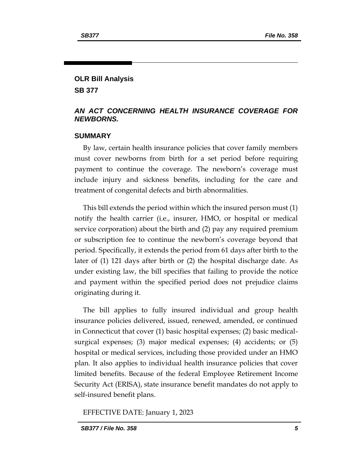#### **OLR Bill Analysis**

**SB 377**

#### *AN ACT CONCERNING HEALTH INSURANCE COVERAGE FOR NEWBORNS.*

#### **SUMMARY**

By law, certain health insurance policies that cover family members must cover newborns from birth for a set period before requiring payment to continue the coverage. The newborn's coverage must include injury and sickness benefits, including for the care and treatment of congenital defects and birth abnormalities.

This bill extends the period within which the insured person must (1) notify the health carrier (i.e., insurer, HMO, or hospital or medical service corporation) about the birth and (2) pay any required premium or subscription fee to continue the newborn's coverage beyond that period. Specifically, it extends the period from 61 days after birth to the later of (1) 121 days after birth or (2) the hospital discharge date. As under existing law, the bill specifies that failing to provide the notice and payment within the specified period does not prejudice claims originating during it.

The bill applies to fully insured individual and group health insurance policies delivered, issued, renewed, amended, or continued in Connecticut that cover (1) basic hospital expenses; (2) basic medicalsurgical expenses; (3) major medical expenses; (4) accidents; or (5) hospital or medical services, including those provided under an HMO plan. It also applies to individual health insurance policies that cover limited benefits. Because of the federal Employee Retirement Income Security Act (ERISA), state insurance benefit mandates do not apply to self-insured benefit plans.

EFFECTIVE DATE: January 1, 2023